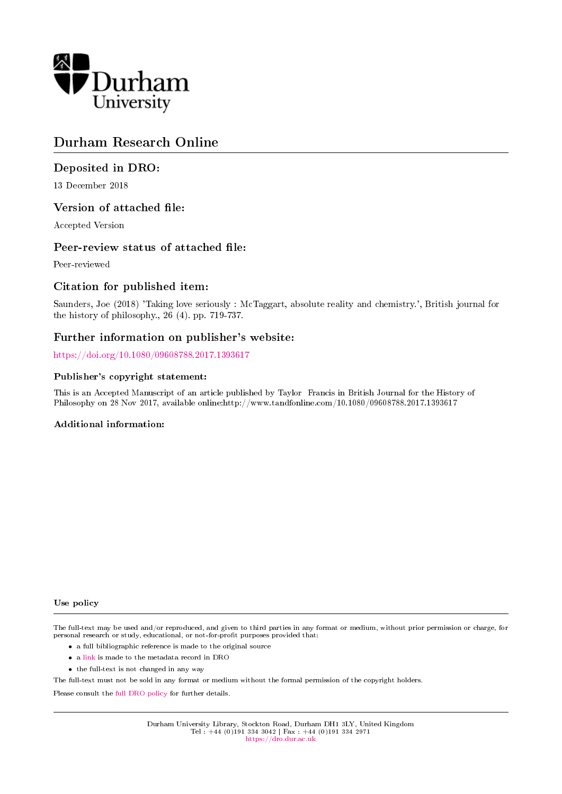

## Durham Research Online

## Deposited in DRO:

13 December 2018

## Version of attached file:

Accepted Version

## Peer-review status of attached file:

Peer-reviewed

## Citation for published item:

Saunders, Joe (2018) 'Taking love seriously : McTaggart, absolute reality and chemistry.', British journal for the history of philosophy., 26 (4). pp. 719-737.

## Further information on publisher's website:

<https://doi.org/10.1080/09608788.2017.1393617>

#### Publisher's copyright statement:

This is an Accepted Manuscript of an article published by Taylor Francis in British Journal for the History of Philosophy on 28 Nov 2017, available online:http://www.tandfonline.com/10.1080/09608788.2017.1393617

#### Additional information:

Use policy

The full-text may be used and/or reproduced, and given to third parties in any format or medium, without prior permission or charge, for personal research or study, educational, or not-for-profit purposes provided that:

- a full bibliographic reference is made to the original source
- a [link](http://dro.dur.ac.uk/26993/) is made to the metadata record in DRO
- the full-text is not changed in any way

The full-text must not be sold in any format or medium without the formal permission of the copyright holders.

Please consult the [full DRO policy](https://dro.dur.ac.uk/policies/usepolicy.pdf) for further details.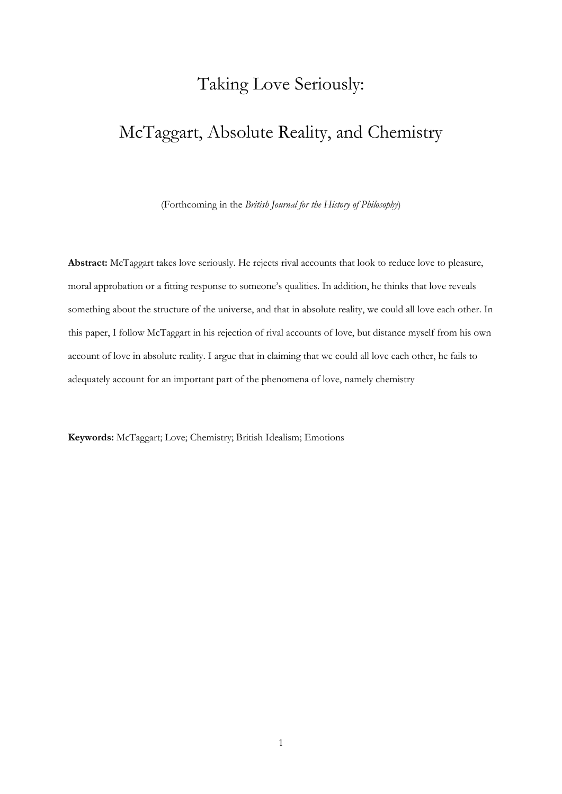## Taking Love Seriously:

## McTaggart, Absolute Reality, and Chemistry

(Forthcoming in the *British Journal for the History of Philosophy*)

**Abstract:** McTaggart takes love seriously. He rejects rival accounts that look to reduce love to pleasure, moral approbation or a fitting response to someone's qualities. In addition, he thinks that love reveals something about the structure of the universe, and that in absolute reality, we could all love each other. In this paper, I follow McTaggart in his rejection of rival accounts of love, but distance myself from his own account of love in absolute reality. I argue that in claiming that we could all love each other, he fails to adequately account for an important part of the phenomena of love, namely chemistry

**Keywords:** McTaggart; Love; Chemistry; British Idealism; Emotions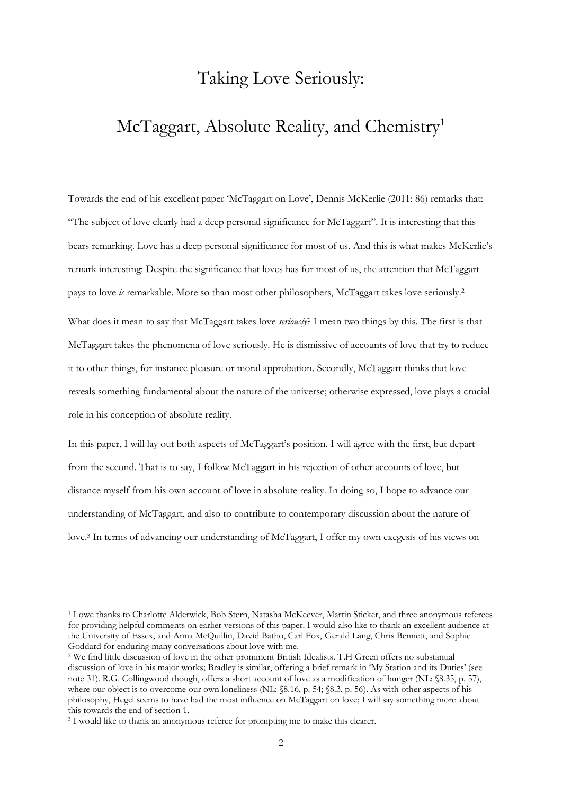## Taking Love Seriously:

# McTaggart, Absolute Reality, and Chemistry<sup>1</sup>

Towards the end of his excellent paper 'McTaggart on Love', Dennis McKerlie (2011: 86) remarks that: "The subject of love clearly had a deep personal significance for McTaggart". It is interesting that this bears remarking. Love has a deep personal significance for most of us. And this is what makes McKerlie's remark interesting: Despite the significance that loves has for most of us, the attention that McTaggart pays to love *is* remarkable. More so than most other philosophers, McTaggart takes love seriously.<sup>2</sup> What does it mean to say that McTaggart takes love *seriously*? I mean two things by this. The first is that McTaggart takes the phenomena of love seriously. He is dismissive of accounts of love that try to reduce it to other things, for instance pleasure or moral approbation. Secondly, McTaggart thinks that love reveals something fundamental about the nature of the universe; otherwise expressed, love plays a crucial role in his conception of absolute reality.

In this paper, I will lay out both aspects of McTaggart's position. I will agree with the first, but depart from the second. That is to say, I follow McTaggart in his rejection of other accounts of love, but distance myself from his own account of love in absolute reality. In doing so, I hope to advance our understanding of McTaggart, and also to contribute to contemporary discussion about the nature of love.<sup>3</sup> In terms of advancing our understanding of McTaggart, I offer my own exegesis of his views on

<sup>1</sup> I owe thanks to Charlotte Alderwick, Bob Stern, Natasha McKeever, Martin Sticker, and three anonymous referees for providing helpful comments on earlier versions of this paper. I would also like to thank an excellent audience at the University of Essex, and Anna McQuillin, David Batho, Carl Fox, Gerald Lang, Chris Bennett, and Sophie Goddard for enduring many conversations about love with me.

<sup>2</sup> We find little discussion of love in the other prominent British Idealists. T.H Green offers no substantial discussion of love in his major works; Bradley is similar, offering a brief remark in 'My Station and its Duties' (see note 31). R.G. Collingwood though, offers a short account of love as a modification of hunger (NL: §8.35, p. 57), where our object is to overcome our own loneliness (NL: §8.16, p. 54; §8.3, p. 56). As with other aspects of his philosophy, Hegel seems to have had the most influence on McTaggart on love; I will say something more about this towards the end of section 1.

<sup>&</sup>lt;sup>3</sup> I would like to thank an anonymous referee for prompting me to make this clearer.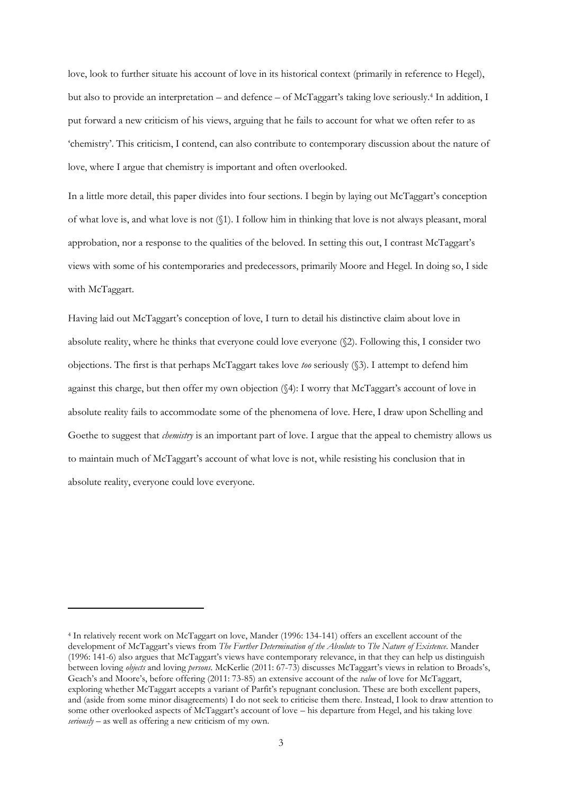love, look to further situate his account of love in its historical context (primarily in reference to Hegel), but also to provide an interpretation – and defence – of McTaggart's taking love seriously.<sup>4</sup> In addition, I put forward a new criticism of his views, arguing that he fails to account for what we often refer to as 'chemistry'. This criticism, I contend, can also contribute to contemporary discussion about the nature of love, where I argue that chemistry is important and often overlooked.

In a little more detail, this paper divides into four sections. I begin by laying out McTaggart's conception of what love is, and what love is not (§1). I follow him in thinking that love is not always pleasant, moral approbation, nor a response to the qualities of the beloved. In setting this out, I contrast McTaggart's views with some of his contemporaries and predecessors, primarily Moore and Hegel. In doing so, I side with McTaggart.

Having laid out McTaggart's conception of love, I turn to detail his distinctive claim about love in absolute reality, where he thinks that everyone could love everyone (§2). Following this, I consider two objections. The first is that perhaps McTaggart takes love *too* seriously (§3). I attempt to defend him against this charge, but then offer my own objection (§4): I worry that McTaggart's account of love in absolute reality fails to accommodate some of the phenomena of love. Here, I draw upon Schelling and Goethe to suggest that *chemistry* is an important part of love. I argue that the appeal to chemistry allows us to maintain much of McTaggart's account of what love is not, while resisting his conclusion that in absolute reality, everyone could love everyone.

<sup>4</sup> In relatively recent work on McTaggart on love, Mander (1996: 134-141) offers an excellent account of the development of McTaggart's views from *The Further Determination of the Absolute* to *The Nature of Existence*. Mander (1996: 141-6) also argues that McTaggart's views have contemporary relevance, in that they can help us distinguish between loving *objects* and loving *persons*. McKerlie (2011: 67-73) discusses McTaggart's views in relation to Broads's, Geach's and Moore's, before offering (2011: 73-85) an extensive account of the *value* of love for McTaggart, exploring whether McTaggart accepts a variant of Parfit's repugnant conclusion. These are both excellent papers, and (aside from some minor disagreements) I do not seek to criticise them there. Instead, I look to draw attention to some other overlooked aspects of McTaggart's account of love – his departure from Hegel, and his taking love *seriously* – as well as offering a new criticism of my own.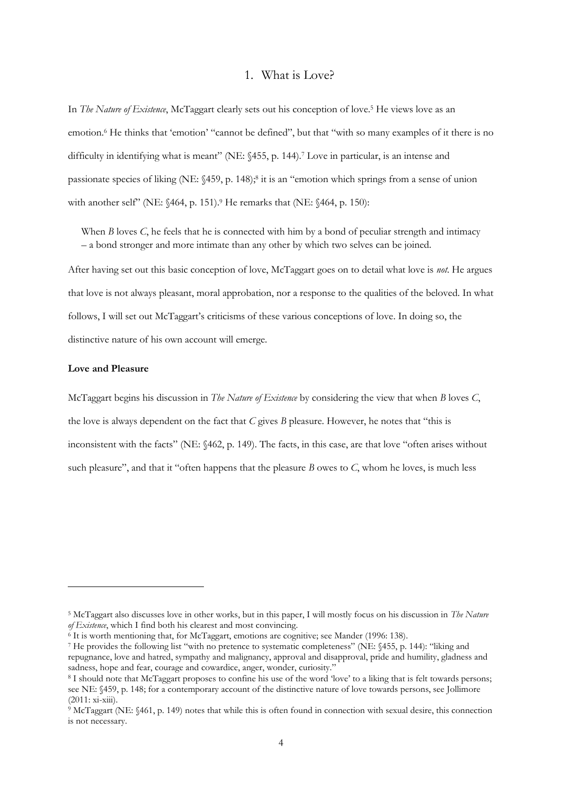## 1. What is Love?

In *The Nature of Existence*, McTaggart clearly sets out his conception of love.<sup>5</sup> He views love as an emotion.<sup>6</sup> He thinks that 'emotion' "cannot be defined", but that "with so many examples of it there is no difficulty in identifying what is meant" (NE:  $\frac{455}{P}$ , p. 144).<sup>7</sup> Love in particular, is an intense and passionate species of liking (NE: §459, p. 148);<sup>8</sup> it is an "emotion which springs from a sense of union with another self" (NE: §464, p. 151).<sup>9</sup> He remarks that (NE: §464, p. 150):

When *B* loves *C*, he feels that he is connected with him by a bond of peculiar strength and intimacy – a bond stronger and more intimate than any other by which two selves can be joined.

After having set out this basic conception of love, McTaggart goes on to detail what love is *not*. He argues that love is not always pleasant, moral approbation, nor a response to the qualities of the beloved. In what follows, I will set out McTaggart's criticisms of these various conceptions of love. In doing so, the distinctive nature of his own account will emerge.

### **Love and Pleasure**

-

McTaggart begins his discussion in *The Nature of Existence* by considering the view that when *B* loves *C*, the love is always dependent on the fact that *C* gives *B* pleasure. However, he notes that "this is inconsistent with the facts" (NE: §462, p. 149). The facts, in this case, are that love "often arises without such pleasure", and that it "often happens that the pleasure *B* owes to *C*, whom he loves, is much less

<sup>5</sup> McTaggart also discusses love in other works, but in this paper, I will mostly focus on his discussion in *The Nature of Existence*, which I find both his clearest and most convincing.

 $6$  It is worth mentioning that, for McTaggart, emotions are cognitive; see Mander (1996: 138).

<sup>7</sup> He provides the following list "with no pretence to systematic completeness" (NE: §455, p. 144): "liking and repugnance, love and hatred, sympathy and malignancy, approval and disapproval, pride and humility, gladness and sadness, hope and fear, courage and cowardice, anger, wonder, curiosity."

<sup>8</sup> I should note that McTaggart proposes to confine his use of the word 'love' to a liking that is felt towards persons; see NE: §459, p. 148; for a contemporary account of the distinctive nature of love towards persons, see Jollimore (2011: xi-xiii).

<sup>9</sup> McTaggart (NE: §461, p. 149) notes that while this is often found in connection with sexual desire, this connection is not necessary.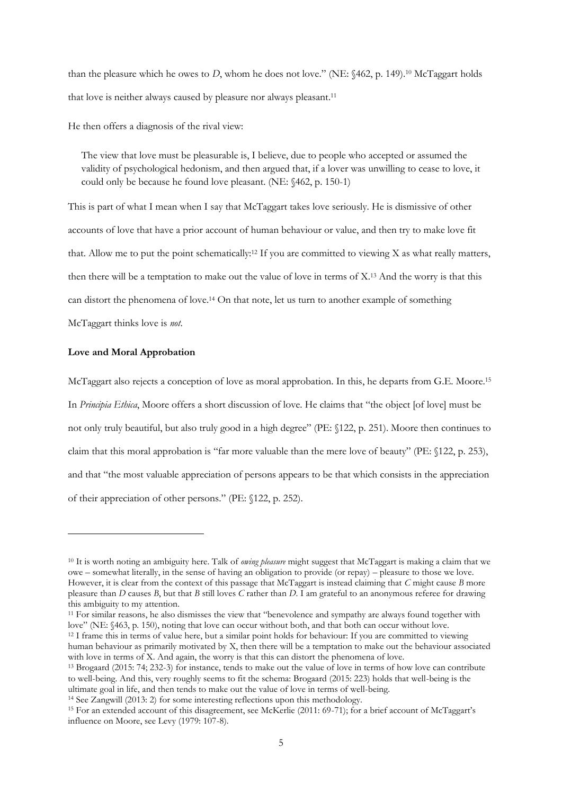than the pleasure which he owes to *D*, whom he does not love." (NE: §462, p. 149).<sup>10</sup> McTaggart holds that love is neither always caused by pleasure nor always pleasant.<sup>11</sup>

He then offers a diagnosis of the rival view:

The view that love must be pleasurable is, I believe, due to people who accepted or assumed the validity of psychological hedonism, and then argued that, if a lover was unwilling to cease to love, it could only be because he found love pleasant. (NE: §462, p. 150-1)

This is part of what I mean when I say that McTaggart takes love seriously. He is dismissive of other accounts of love that have a prior account of human behaviour or value, and then try to make love fit that. Allow me to put the point schematically:<sup>12</sup> If you are committed to viewing X as what really matters, then there will be a temptation to make out the value of love in terms of  $X<sup>13</sup>$  And the worry is that this can distort the phenomena of love.<sup>14</sup> On that note, let us turn to another example of something McTaggart thinks love is *not*.

#### **Love and Moral Approbation**

-

McTaggart also rejects a conception of love as moral approbation. In this, he departs from G.E. Moore.<sup>15</sup> In *Principia Ethica*, Moore offers a short discussion of love. He claims that "the object [of love] must be not only truly beautiful, but also truly good in a high degree" (PE: §122, p. 251). Moore then continues to claim that this moral approbation is "far more valuable than the mere love of beauty" (PE: §122, p. 253), and that "the most valuable appreciation of persons appears to be that which consists in the appreciation of their appreciation of other persons." (PE: §122, p. 252).

<sup>11</sup> For similar reasons, he also dismisses the view that "benevolence and sympathy are always found together with love" (NE: §463, p. 150), noting that love can occur without both, and that both can occur without love.

<sup>10</sup> It is worth noting an ambiguity here. Talk of *owing pleasure* might suggest that McTaggart is making a claim that we owe – somewhat literally, in the sense of having an obligation to provide (or repay) – pleasure to those we love. However, it is clear from the context of this passage that McTaggart is instead claiming that *C* might cause *B* more pleasure than *D* causes *B*, but that *B* still loves *C* rather than *D*. I am grateful to an anonymous referee for drawing this ambiguity to my attention.

<sup>&</sup>lt;sup>12</sup> I frame this in terms of value here, but a similar point holds for behaviour: If you are committed to viewing human behaviour as primarily motivated by X, then there will be a temptation to make out the behaviour associated with love in terms of X. And again, the worry is that this can distort the phenomena of love.

<sup>13</sup> Brogaard (2015: 74; 232-3) for instance, tends to make out the value of love in terms of how love can contribute to well-being. And this, very roughly seems to fit the schema: Brogaard (2015: 223) holds that well-being is the ultimate goal in life, and then tends to make out the value of love in terms of well-being.

<sup>14</sup> See Zangwill (2013: 2) for some interesting reflections upon this methodology.

<sup>15</sup> For an extended account of this disagreement, see McKerlie (2011: 69-71); for a brief account of McTaggart's influence on Moore, see Levy (1979: 107-8).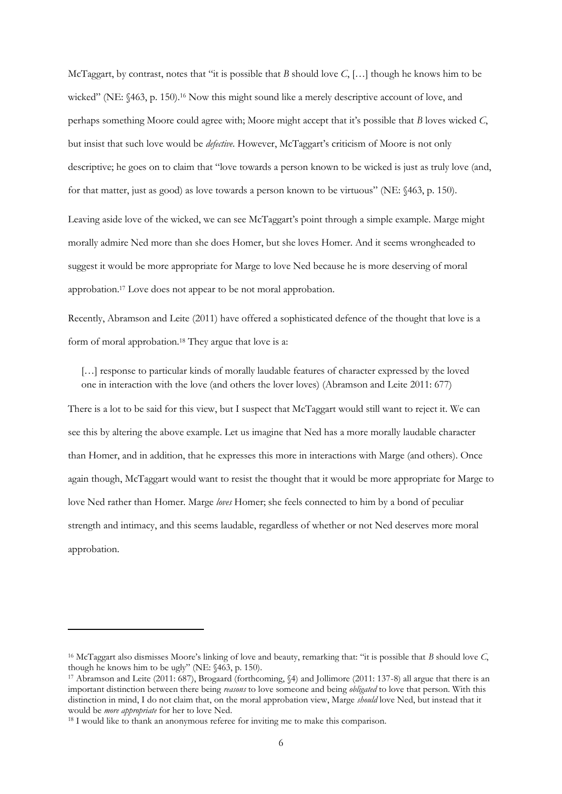McTaggart, by contrast, notes that "it is possible that *B* should love *C*, […] though he knows him to be wicked" (NE: §463, p. 150).<sup>16</sup> Now this might sound like a merely descriptive account of love, and perhaps something Moore could agree with; Moore might accept that it's possible that *B* loves wicked *C*, but insist that such love would be *defective*. However, McTaggart's criticism of Moore is not only descriptive; he goes on to claim that "love towards a person known to be wicked is just as truly love (and, for that matter, just as good) as love towards a person known to be virtuous" (NE: §463, p. 150).

Leaving aside love of the wicked, we can see McTaggart's point through a simple example. Marge might morally admire Ned more than she does Homer, but she loves Homer. And it seems wrongheaded to suggest it would be more appropriate for Marge to love Ned because he is more deserving of moral approbation. <sup>17</sup> Love does not appear to be not moral approbation.

Recently, Abramson and Leite (2011) have offered a sophisticated defence of the thought that love is a form of moral approbation.<sup>18</sup> They argue that love is a:

[...] response to particular kinds of morally laudable features of character expressed by the loved one in interaction with the love (and others the lover loves) (Abramson and Leite 2011: 677)

There is a lot to be said for this view, but I suspect that McTaggart would still want to reject it. We can see this by altering the above example. Let us imagine that Ned has a more morally laudable character than Homer, and in addition, that he expresses this more in interactions with Marge (and others). Once again though, McTaggart would want to resist the thought that it would be more appropriate for Marge to love Ned rather than Homer. Marge *loves* Homer; she feels connected to him by a bond of peculiar strength and intimacy, and this seems laudable, regardless of whether or not Ned deserves more moral approbation.

<sup>16</sup> McTaggart also dismisses Moore's linking of love and beauty, remarking that: "it is possible that *B* should love *C*, though he knows him to be ugly" (NE: §463, p. 150).

<sup>17</sup> Abramson and Leite (2011: 687), Brogaard (forthcoming, §4) and Jollimore (2011: 137-8) all argue that there is an important distinction between there being *reasons* to love someone and being *obligated* to love that person. With this distinction in mind, I do not claim that, on the moral approbation view, Marge *should* love Ned, but instead that it would be *more appropriate* for her to love Ned.

<sup>&</sup>lt;sup>18</sup> I would like to thank an anonymous referee for inviting me to make this comparison.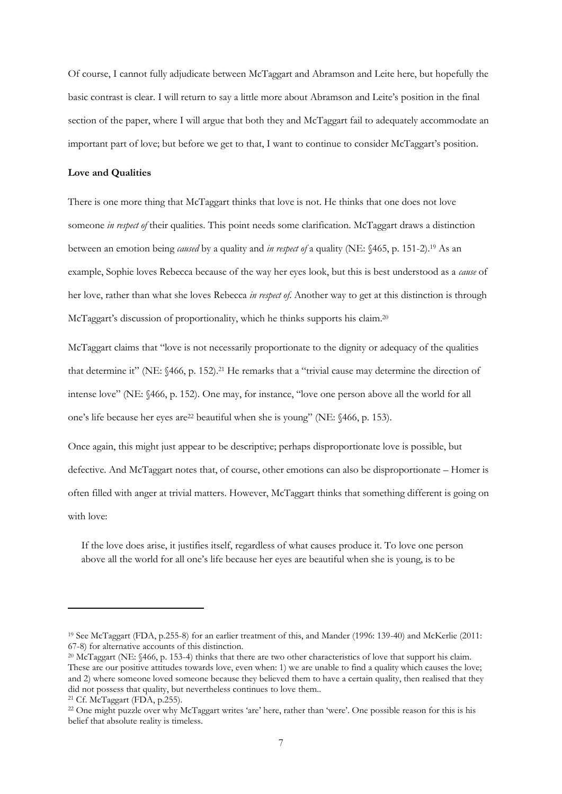Of course, I cannot fully adjudicate between McTaggart and Abramson and Leite here, but hopefully the basic contrast is clear. I will return to say a little more about Abramson and Leite's position in the final section of the paper, where I will argue that both they and McTaggart fail to adequately accommodate an important part of love; but before we get to that, I want to continue to consider McTaggart's position.

#### **Love and Qualities**

There is one more thing that McTaggart thinks that love is not. He thinks that one does not love someone *in respect of* their qualities. This point needs some clarification. McTaggart draws a distinction between an emotion being *caused* by a quality and *in respect of* a quality (NE: §465, p. 151-2).<sup>19</sup> As an example, Sophie loves Rebecca because of the way her eyes look, but this is best understood as a *cause* of her love, rather than what she loves Rebecca *in respect of*. Another way to get at this distinction is through McTaggart's discussion of proportionality, which he thinks supports his claim.<sup>20</sup>

McTaggart claims that "love is not necessarily proportionate to the dignity or adequacy of the qualities that determine it" (NE: §466, p. 152).<sup>21</sup> He remarks that a "trivial cause may determine the direction of intense love" (NE: §466, p. 152). One may, for instance, "love one person above all the world for all one's life because her eyes are<sup>22</sup> beautiful when she is young" (NE: §466, p. 153).

Once again, this might just appear to be descriptive; perhaps disproportionate love is possible, but defective. And McTaggart notes that, of course, other emotions can also be disproportionate – Homer is often filled with anger at trivial matters. However, McTaggart thinks that something different is going on with love:

If the love does arise, it justifies itself, regardless of what causes produce it. To love one person above all the world for all one's life because her eyes are beautiful when she is young, is to be

<sup>19</sup> See McTaggart (FDA, p.255-8) for an earlier treatment of this, and Mander (1996: 139-40) and McKerlie (2011: 67-8) for alternative accounts of this distinction.

<sup>&</sup>lt;sup>20</sup> McTaggart (NE: §466, p. 153-4) thinks that there are two other characteristics of love that support his claim. These are our positive attitudes towards love, even when: 1) we are unable to find a quality which causes the love; and 2) where someone loved someone because they believed them to have a certain quality, then realised that they did not possess that quality, but nevertheless continues to love them..

<sup>21</sup> Cf. McTaggart (FDA, p.255).

<sup>&</sup>lt;sup>22</sup> One might puzzle over why McTaggart writes 'are' here, rather than 'were'. One possible reason for this is his belief that absolute reality is timeless.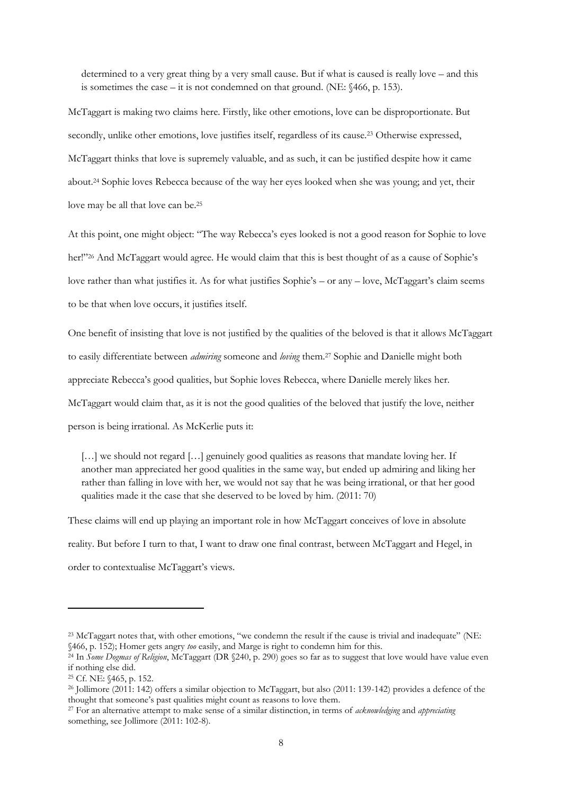determined to a very great thing by a very small cause. But if what is caused is really love – and this is sometimes the case – it is not condemned on that ground. (NE: §466, p. 153).

McTaggart is making two claims here. Firstly, like other emotions, love can be disproportionate. But secondly, unlike other emotions, love justifies itself, regardless of its cause.<sup>23</sup> Otherwise expressed, McTaggart thinks that love is supremely valuable, and as such, it can be justified despite how it came about.<sup>24</sup> Sophie loves Rebecca because of the way her eyes looked when she was young; and yet, their love may be all that love can be.<sup>25</sup>

At this point, one might object: "The way Rebecca's eyes looked is not a good reason for Sophie to love her!"<sup>26</sup> And McTaggart would agree. He would claim that this is best thought of as a cause of Sophie's love rather than what justifies it. As for what justifies Sophie's – or any – love, McTaggart's claim seems to be that when love occurs, it justifies itself.

One benefit of insisting that love is not justified by the qualities of the beloved is that it allows McTaggart to easily differentiate between *admiring* someone and *loving* them.<sup>27</sup> Sophie and Danielle might both appreciate Rebecca's good qualities, but Sophie loves Rebecca, where Danielle merely likes her. McTaggart would claim that, as it is not the good qualities of the beloved that justify the love, neither person is being irrational. As McKerlie puts it:

[...] we should not regard [...] genuinely good qualities as reasons that mandate loving her. If another man appreciated her good qualities in the same way, but ended up admiring and liking her rather than falling in love with her, we would not say that he was being irrational, or that her good qualities made it the case that she deserved to be loved by him. (2011: 70)

These claims will end up playing an important role in how McTaggart conceives of love in absolute reality. But before I turn to that, I want to draw one final contrast, between McTaggart and Hegel, in order to contextualise McTaggart's views.

<sup>&</sup>lt;sup>23</sup> McTaggart notes that, with other emotions, "we condemn the result if the cause is trivial and inadequate" (NE: §466, p. 152); Homer gets angry *too* easily, and Marge is right to condemn him for this.

<sup>&</sup>lt;sup>24</sup> In *Some Dogmas of Religion*, McTaggart (DR §240, p. 290) goes so far as to suggest that love would have value even if nothing else did.

<sup>25</sup> Cf. NE: §465, p. 152.

<sup>26</sup> Jollimore (2011: 142) offers a similar objection to McTaggart, but also (2011: 139-142) provides a defence of the thought that someone's past qualities might count as reasons to love them.

<sup>27</sup> For an alternative attempt to make sense of a similar distinction, in terms of *acknowledging* and *appreciating* something, see Jollimore (2011: 102-8).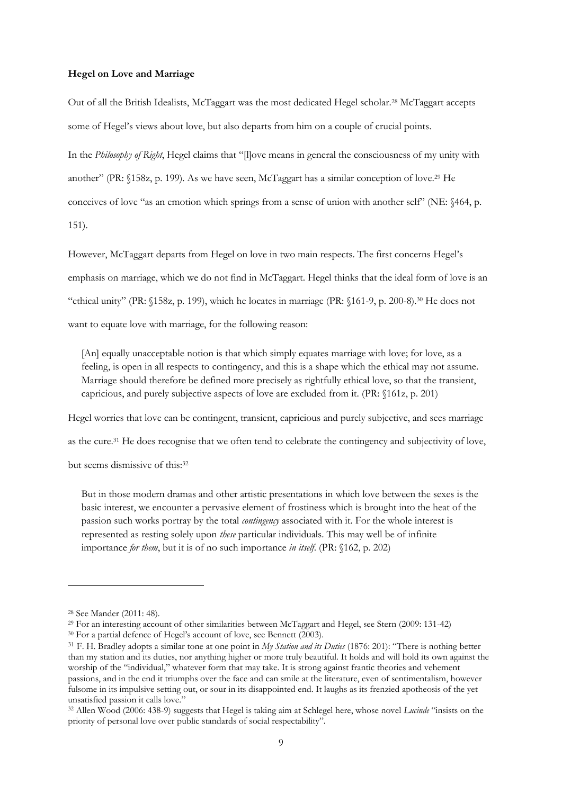#### **Hegel on Love and Marriage**

Out of all the British Idealists, McTaggart was the most dedicated Hegel scholar.<sup>28</sup> McTaggart accepts some of Hegel's views about love, but also departs from him on a couple of crucial points.

In the *Philosophy of Right*, Hegel claims that "[l]ove means in general the consciousness of my unity with another" (PR: §158z, p. 199). As we have seen, McTaggart has a similar conception of love.<sup>29</sup> He conceives of love "as an emotion which springs from a sense of union with another self" (NE: §464, p. 151).

However, McTaggart departs from Hegel on love in two main respects. The first concerns Hegel's emphasis on marriage, which we do not find in McTaggart. Hegel thinks that the ideal form of love is an "ethical unity" (PR: §158z, p. 199), which he locates in marriage (PR: §161-9, p. 200-8).<sup>30</sup> He does not want to equate love with marriage, for the following reason:

[An] equally unacceptable notion is that which simply equates marriage with love; for love, as a feeling, is open in all respects to contingency, and this is a shape which the ethical may not assume. Marriage should therefore be defined more precisely as rightfully ethical love, so that the transient, capricious, and purely subjective aspects of love are excluded from it. (PR: §161z, p. 201)

Hegel worries that love can be contingent, transient, capricious and purely subjective, and sees marriage as the cure.<sup>31</sup> He does recognise that we often tend to celebrate the contingency and subjectivity of love, but seems dismissive of this:<sup>32</sup>

But in those modern dramas and other artistic presentations in which love between the sexes is the basic interest, we encounter a pervasive element of frostiness which is brought into the heat of the passion such works portray by the total *contingency* associated with it. For the whole interest is represented as resting solely upon *these* particular individuals. This may well be of infinite importance *for them*, but it is of no such importance *in itself*. (PR: §162, p. 202)

<sup>28</sup> See Mander (2011: 48).

<sup>29</sup> For an interesting account of other similarities between McTaggart and Hegel, see Stern (2009: 131-42)

<sup>&</sup>lt;sup>30</sup> For a partial defence of Hegel's account of love, see Bennett (2003).

<sup>31</sup> F. H. Bradley adopts a similar tone at one point in *My Station and its Duties* (1876: 201): "There is nothing better than my station and its duties, nor anything higher or more truly beautiful. It holds and will hold its own against the worship of the "individual," whatever form that may take. It is strong against frantic theories and vehement passions, and in the end it triumphs over the face and can smile at the literature, even of sentimentalism, however fulsome in its impulsive setting out, or sour in its disappointed end. It laughs as its frenzied apotheosis of the yet unsatisfied passion it calls love."

<sup>32</sup> Allen Wood (2006: 438-9) suggests that Hegel is taking aim at Schlegel here, whose novel *Lucinde* "insists on the priority of personal love over public standards of social respectability".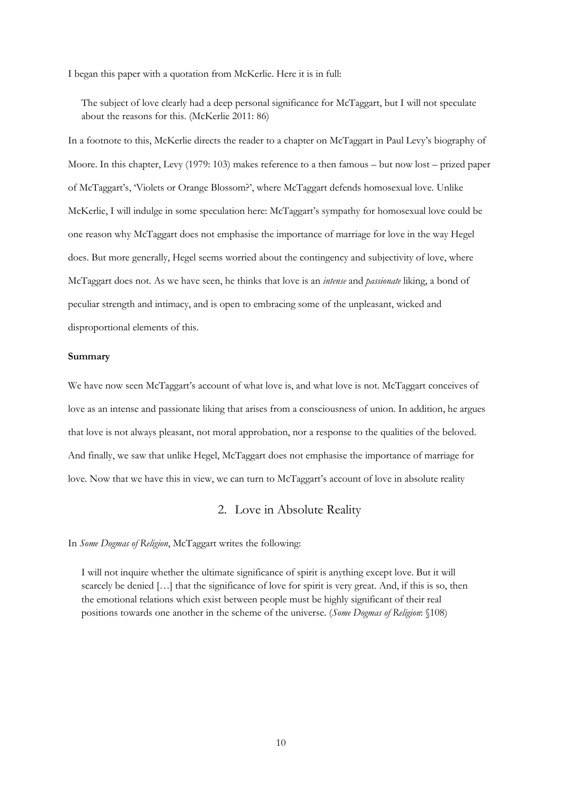I began this paper with a quotation from McKerlie. Here it is in full:

The subject of love clearly had a deep personal significance for McTaggart, but I will not speculate about the reasons for this. (McKerlie 2011: 86)

In a footnote to this, McKerlie directs the reader to a chapter on McTaggart in Paul Levy's biography of Moore. In this chapter, Levy (1979: 103) makes reference to a then famous – but now lost – prized paper of McTaggart's, 'Violets or Orange Blossom?', where McTaggart defends homosexual love. Unlike McKerlie, I will indulge in some speculation here: McTaggart's sympathy for homosexual love could be one reason why McTaggart does not emphasise the importance of marriage for love in the way Hegel does. But more generally, Hegel seems worried about the contingency and subjectivity of love, where McTaggart does not. As we have seen, he thinks that love is an *intense* and *passionate* liking, a bond of peculiar strength and intimacy, and is open to embracing some of the unpleasant, wicked and disproportional elements of this.

#### **Summary**

We have now seen McTaggart's account of what love is, and what love is not. McTaggart conceives of love as an intense and passionate liking that arises from a consciousness of union. In addition, he argues that love is not always pleasant, not moral approbation, nor a response to the qualities of the beloved. And finally, we saw that unlike Hegel, McTaggart does not emphasise the importance of marriage for love. Now that we have this in view, we can turn to McTaggart's account of love in absolute reality

### 2. Love in Absolute Reality

In *Some Dogmas of Religion*, McTaggart writes the following:

I will not inquire whether the ultimate significance of spirit is anything except love. But it will scarcely be denied [...] that the significance of love for spirit is very great. And, if this is so, then the emotional relations which exist between people must be highly significant of their real positions towards one another in the scheme of the universe. (*Some Dogmas of Religion*: §108)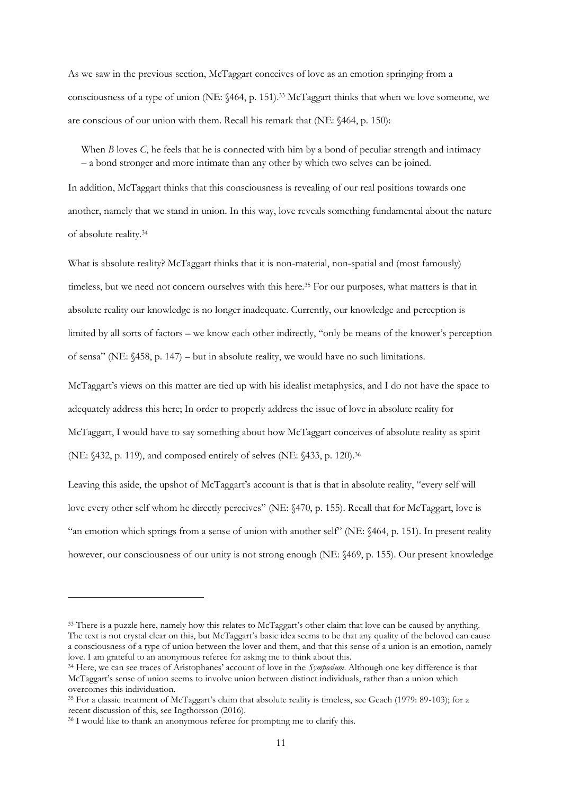As we saw in the previous section, McTaggart conceives of love as an emotion springing from a consciousness of a type of union (NE: §464, p. 151). <sup>33</sup> McTaggart thinks that when we love someone, we are conscious of our union with them. Recall his remark that (NE: §464, p. 150):

When *B* loves *C*, he feels that he is connected with him by a bond of peculiar strength and intimacy – a bond stronger and more intimate than any other by which two selves can be joined.

In addition, McTaggart thinks that this consciousness is revealing of our real positions towards one another, namely that we stand in union. In this way, love reveals something fundamental about the nature of absolute reality.<sup>34</sup>

What is absolute reality? McTaggart thinks that it is non-material, non-spatial and (most famously) timeless, but we need not concern ourselves with this here.<sup>35</sup> For our purposes, what matters is that in absolute reality our knowledge is no longer inadequate. Currently, our knowledge and perception is limited by all sorts of factors – we know each other indirectly, "only be means of the knower's perception of sensa" (NE: §458, p. 147) – but in absolute reality, we would have no such limitations.

McTaggart's views on this matter are tied up with his idealist metaphysics, and I do not have the space to adequately address this here; In order to properly address the issue of love in absolute reality for McTaggart, I would have to say something about how McTaggart conceives of absolute reality as spirit (NE: §432, p. 119), and composed entirely of selves (NE: §433, p. 120).<sup>36</sup>

Leaving this aside, the upshot of McTaggart's account is that is that in absolute reality, "every self will love every other self whom he directly perceives" (NE: §470, p. 155). Recall that for McTaggart, love is "an emotion which springs from a sense of union with another self" (NE: §464, p. 151). In present reality however, our consciousness of our unity is not strong enough (NE: §469, p. 155). Our present knowledge

<sup>&</sup>lt;sup>33</sup> There is a puzzle here, namely how this relates to McTaggart's other claim that love can be caused by anything. The text is not crystal clear on this, but McTaggart's basic idea seems to be that any quality of the beloved can cause a consciousness of a type of union between the lover and them, and that this sense of a union is an emotion, namely love. I am grateful to an anonymous referee for asking me to think about this.

<sup>34</sup> Here, we can see traces of Aristophanes' account of love in the *Symposium*. Although one key difference is that McTaggart's sense of union seems to involve union between distinct individuals, rather than a union which overcomes this individuation.

<sup>35</sup> For a classic treatment of McTaggart's claim that absolute reality is timeless, see Geach (1979: 89-103); for a recent discussion of this, see Ingthorsson (2016).

<sup>&</sup>lt;sup>36</sup> I would like to thank an anonymous referee for prompting me to clarify this.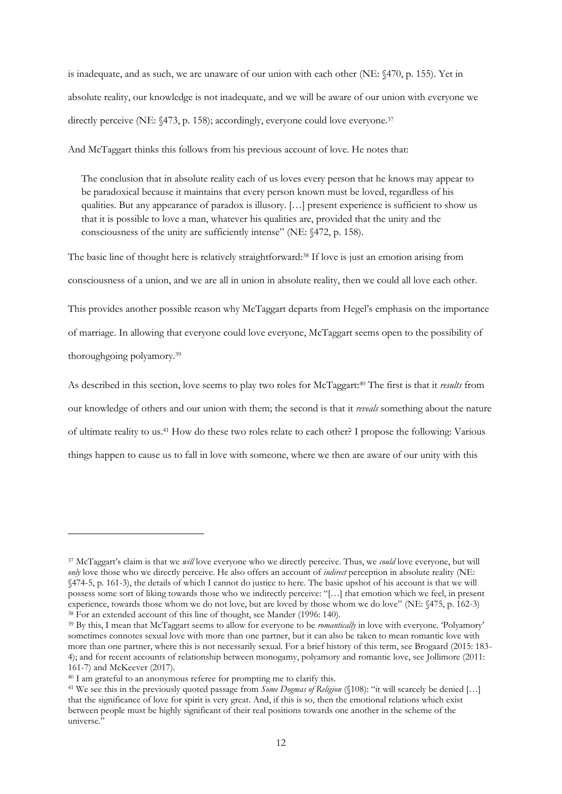is inadequate, and as such, we are unaware of our union with each other (NE: §470, p. 155). Yet in absolute reality, our knowledge is not inadequate, and we will be aware of our union with everyone we directly perceive (NE: §473, p. 158); accordingly, everyone could love everyone.<sup>37</sup>

And McTaggart thinks this follows from his previous account of love. He notes that:

The conclusion that in absolute reality each of us loves every person that he knows may appear to be paradoxical because it maintains that every person known must be loved, regardless of his qualities. But any appearance of paradox is illusory. […] present experience is sufficient to show us that it is possible to love a man, whatever his qualities are, provided that the unity and the consciousness of the unity are sufficiently intense" (NE: §472, p. 158).

The basic line of thought here is relatively straightforward:<sup>38</sup> If love is just an emotion arising from consciousness of a union, and we are all in union in absolute reality, then we could all love each other.

This provides another possible reason why McTaggart departs from Hegel's emphasis on the importance of marriage. In allowing that everyone could love everyone, McTaggart seems open to the possibility of thoroughgoing polyamory.<sup>39</sup>

As described in this section, love seems to play two roles for McTaggart:<sup>40</sup> The first is that it *results* from our knowledge of others and our union with them; the second is that it *reveals* something about the nature of ultimate reality to us.<sup>41</sup> How do these two roles relate to each other? I propose the following: Various things happen to cause us to fall in love with someone, where we then are aware of our unity with this

<sup>37</sup> McTaggart's claim is that we *will* love everyone who we directly perceive. Thus, we *could* love everyone, but will *only* love those who we directly perceive. He also offers an account of *indirect* perception in absolute reality (NE: §474-5, p. 161-3), the details of which I cannot do justice to here. The basic upshot of his account is that we will possess some sort of liking towards those who we indirectly perceive: "[…] that emotion which we feel, in present experience, towards those whom we do not love, but are loved by those whom we do love" (NE: §475, p. 162-3) <sup>38</sup> For an extended account of this line of thought, see Mander (1996: 140).

<sup>39</sup> By this, I mean that McTaggart seems to allow for everyone to be *romantically* in love with everyone. 'Polyamory' sometimes connotes sexual love with more than one partner, but it can also be taken to mean romantic love with more than one partner, where this is not necessarily sexual. For a brief history of this term, see Brogaard (2015: 183- 4); and for recent accounts of relationship between monogamy, polyamory and romantic love, see Jollimore (2011: 161-7) and McKeever (2017).

<sup>&</sup>lt;sup>40</sup> I am grateful to an anonymous referee for prompting me to clarify this.

<sup>41</sup> We see this in the previously quoted passage from *Some Dogmas of Religion* (§108): "it will scarcely be denied […] that the significance of love for spirit is very great. And, if this is so, then the emotional relations which exist between people must be highly significant of their real positions towards one another in the scheme of the universe."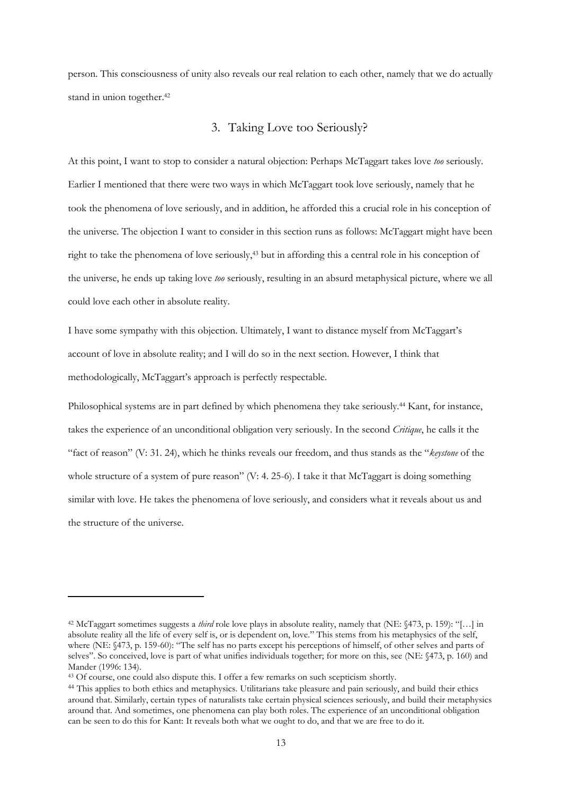person. This consciousness of unity also reveals our real relation to each other, namely that we do actually stand in union together.<sup>42</sup>

## 3. Taking Love too Seriously?

At this point, I want to stop to consider a natural objection: Perhaps McTaggart takes love *too* seriously. Earlier I mentioned that there were two ways in which McTaggart took love seriously, namely that he took the phenomena of love seriously, and in addition, he afforded this a crucial role in his conception of the universe. The objection I want to consider in this section runs as follows: McTaggart might have been right to take the phenomena of love seriously,<sup>43</sup> but in affording this a central role in his conception of the universe, he ends up taking love *too* seriously, resulting in an absurd metaphysical picture, where we all could love each other in absolute reality.

I have some sympathy with this objection. Ultimately, I want to distance myself from McTaggart's account of love in absolute reality; and I will do so in the next section. However, I think that methodologically, McTaggart's approach is perfectly respectable.

Philosophical systems are in part defined by which phenomena they take seriously.<sup>44</sup> Kant, for instance, takes the experience of an unconditional obligation very seriously. In the second *Critique*, he calls it the "fact of reason" (V: 31. 24), which he thinks reveals our freedom, and thus stands as the "*keystone* of the whole structure of a system of pure reason" (V: 4. 25-6). I take it that McTaggart is doing something similar with love. He takes the phenomena of love seriously, and considers what it reveals about us and the structure of the universe.

<sup>42</sup> McTaggart sometimes suggests a *third* role love plays in absolute reality, namely that (NE: §473, p. 159): "[…] in absolute reality all the life of every self is, or is dependent on, love." This stems from his metaphysics of the self, where (NE: §473, p. 159-60): "The self has no parts except his perceptions of himself, of other selves and parts of selves". So conceived, love is part of what unifies individuals together; for more on this, see (NE: §473, p. 160) and Mander (1996: 134).

<sup>43</sup> Of course, one could also dispute this. I offer a few remarks on such scepticism shortly.

<sup>&</sup>lt;sup>44</sup> This applies to both ethics and metaphysics. Utilitarians take pleasure and pain seriously, and build their ethics around that. Similarly, certain types of naturalists take certain physical sciences seriously, and build their metaphysics around that. And sometimes, one phenomena can play both roles. The experience of an unconditional obligation can be seen to do this for Kant: It reveals both what we ought to do, and that we are free to do it.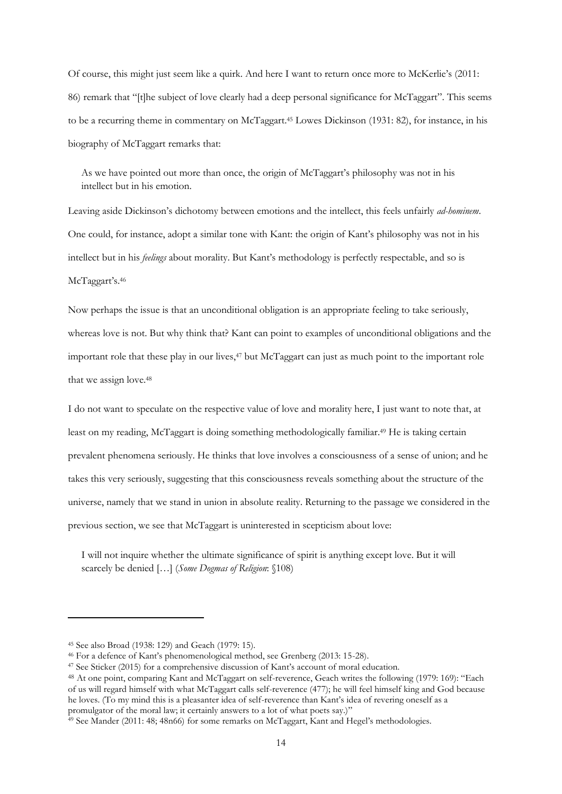Of course, this might just seem like a quirk. And here I want to return once more to McKerlie's (2011: 86) remark that "[t]he subject of love clearly had a deep personal significance for McTaggart". This seems to be a recurring theme in commentary on McTaggart.<sup>45</sup> Lowes Dickinson (1931: 82), for instance, in his biography of McTaggart remarks that:

As we have pointed out more than once, the origin of McTaggart's philosophy was not in his intellect but in his emotion.

Leaving aside Dickinson's dichotomy between emotions and the intellect, this feels unfairly *ad-hominem*. One could, for instance, adopt a similar tone with Kant: the origin of Kant's philosophy was not in his intellect but in his *feelings* about morality. But Kant's methodology is perfectly respectable, and so is McTaggart's.<sup>46</sup>

Now perhaps the issue is that an unconditional obligation is an appropriate feeling to take seriously, whereas love is not. But why think that? Kant can point to examples of unconditional obligations and the important role that these play in our lives,<sup>47</sup> but McTaggart can just as much point to the important role that we assign love.<sup>48</sup>

I do not want to speculate on the respective value of love and morality here, I just want to note that, at least on my reading, McTaggart is doing something methodologically familiar.<sup>49</sup> He is taking certain prevalent phenomena seriously. He thinks that love involves a consciousness of a sense of union; and he takes this very seriously, suggesting that this consciousness reveals something about the structure of the universe, namely that we stand in union in absolute reality. Returning to the passage we considered in the previous section, we see that McTaggart is uninterested in scepticism about love:

I will not inquire whether the ultimate significance of spirit is anything except love. But it will scarcely be denied […] (*Some Dogmas of Religion*: §108)

<sup>45</sup> See also Broad (1938: 129) and Geach (1979: 15).

<sup>46</sup> For a defence of Kant's phenomenological method, see Grenberg (2013: 15-28).

<sup>47</sup> See Sticker (2015) for a comprehensive discussion of Kant's account of moral education.

<sup>48</sup> At one point, comparing Kant and McTaggart on self-reverence, Geach writes the following (1979: 169): "Each of us will regard himself with what McTaggart calls self-reverence (477); he will feel himself king and God because he loves. (To my mind this is a pleasanter idea of self-reverence than Kant's idea of revering oneself as a promulgator of the moral law; it certainly answers to a lot of what poets say.)"

 $49$  See Mander (2011: 48; 48n66) for some remarks on McTaggart, Kant and Hegel's methodologies.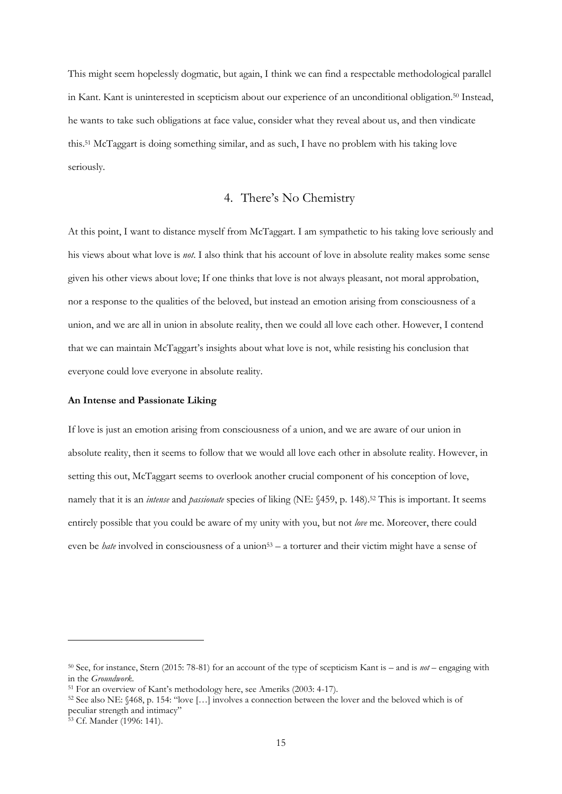This might seem hopelessly dogmatic, but again, I think we can find a respectable methodological parallel in Kant. Kant is uninterested in scepticism about our experience of an unconditional obligation.<sup>50</sup> Instead, he wants to take such obligations at face value, consider what they reveal about us, and then vindicate this.<sup>51</sup> McTaggart is doing something similar, and as such, I have no problem with his taking love seriously.

## 4. There's No Chemistry

At this point, I want to distance myself from McTaggart. I am sympathetic to his taking love seriously and his views about what love is *not*. I also think that his account of love in absolute reality makes some sense given his other views about love; If one thinks that love is not always pleasant, not moral approbation, nor a response to the qualities of the beloved, but instead an emotion arising from consciousness of a union, and we are all in union in absolute reality, then we could all love each other. However, I contend that we can maintain McTaggart's insights about what love is not, while resisting his conclusion that everyone could love everyone in absolute reality.

#### **An Intense and Passionate Liking**

If love is just an emotion arising from consciousness of a union, and we are aware of our union in absolute reality, then it seems to follow that we would all love each other in absolute reality. However, in setting this out, McTaggart seems to overlook another crucial component of his conception of love, namely that it is an *intense* and *passionate* species of liking (NE: §459, p. 148).<sup>52</sup> This is important. It seems entirely possible that you could be aware of my unity with you, but not *love* me. Moreover, there could even be *hate* involved in consciousness of a union<sup>53</sup> – a torturer and their victim might have a sense of

<sup>53</sup> Cf. Mander (1996: 141).

<sup>50</sup> See, for instance, Stern (2015: 78-81) for an account of the type of scepticism Kant is – and is *not* – engaging with in the *Groundwork*.

<sup>51</sup> For an overview of Kant's methodology here, see Ameriks (2003: 4-17).

<sup>52</sup> See also NE: §468, p. 154: "love […] involves a connection between the lover and the beloved which is of peculiar strength and intimacy"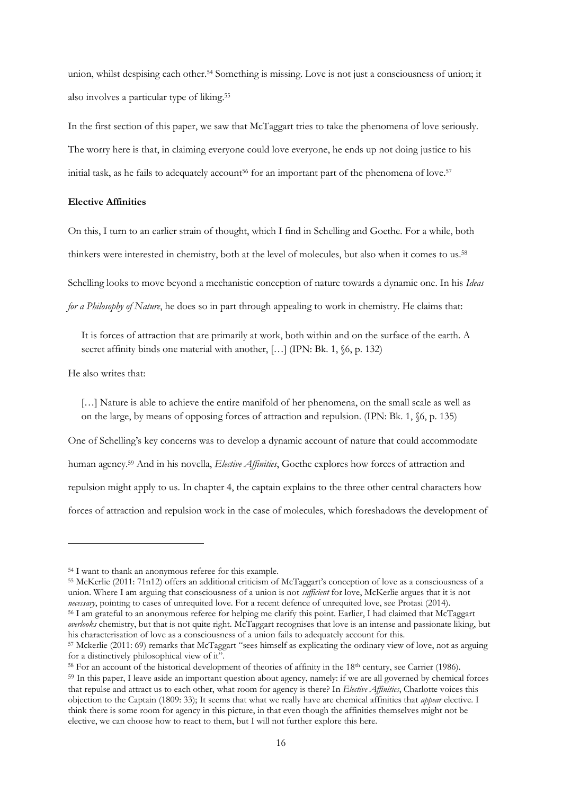union, whilst despising each other.<sup>54</sup> Something is missing. Love is not just a consciousness of union; it also involves a particular type of liking.<sup>55</sup>

In the first section of this paper, we saw that McTaggart tries to take the phenomena of love seriously. The worry here is that, in claiming everyone could love everyone, he ends up not doing justice to his initial task, as he fails to adequately account<sup>56</sup> for an important part of the phenomena of love.<sup>57</sup>

### **Elective Affinities**

On this, I turn to an earlier strain of thought, which I find in Schelling and Goethe. For a while, both

thinkers were interested in chemistry, both at the level of molecules, but also when it comes to us.<sup>58</sup>

Schelling looks to move beyond a mechanistic conception of nature towards a dynamic one. In his *Ideas* 

*for a Philosophy of Nature*, he does so in part through appealing to work in chemistry. He claims that:

It is forces of attraction that are primarily at work, both within and on the surface of the earth. A secret affinity binds one material with another, [...] (IPN: Bk. 1,  $(6, p. 132)$ )

He also writes that:

-

[...] Nature is able to achieve the entire manifold of her phenomena, on the small scale as well as on the large, by means of opposing forces of attraction and repulsion. (IPN: Bk. 1, §6, p. 135)

One of Schelling's key concerns was to develop a dynamic account of nature that could accommodate human agency.<sup>59</sup> And in his novella, *Elective Affinities*, Goethe explores how forces of attraction and repulsion might apply to us. In chapter 4, the captain explains to the three other central characters how forces of attraction and repulsion work in the case of molecules, which foreshadows the development of

<sup>55</sup> McKerlie (2011: 71n12) offers an additional criticism of McTaggart's conception of love as a consciousness of a union. Where I am arguing that consciousness of a union is not *sufficient* for love, McKerlie argues that it is not *necessary*, pointing to cases of unrequited love. For a recent defence of unrequited love, see Protasi (2014). <sup>56</sup> I am grateful to an anonymous referee for helping me clarify this point. Earlier, I had claimed that McTaggart *overlooks* chemistry, but that is not quite right. McTaggart recognises that love is an intense and passionate liking, but his characterisation of love as a consciousness of a union fails to adequately account for this.

<sup>58</sup> For an account of the historical development of theories of affinity in the 18<sup>th</sup> century, see Carrier (1986).

<sup>54</sup> I want to thank an anonymous referee for this example.

<sup>57</sup> Mckerlie (2011: 69) remarks that McTaggart "sees himself as explicating the ordinary view of love, not as arguing for a distinctively philosophical view of it".

<sup>59</sup> In this paper, I leave aside an important question about agency, namely: if we are all governed by chemical forces that repulse and attract us to each other, what room for agency is there? In *Elective Affinities*, Charlotte voices this objection to the Captain (1809: 33); It seems that what we really have are chemical affinities that *appear* elective. I think there is some room for agency in this picture, in that even though the affinities themselves might not be elective, we can choose how to react to them, but I will not further explore this here.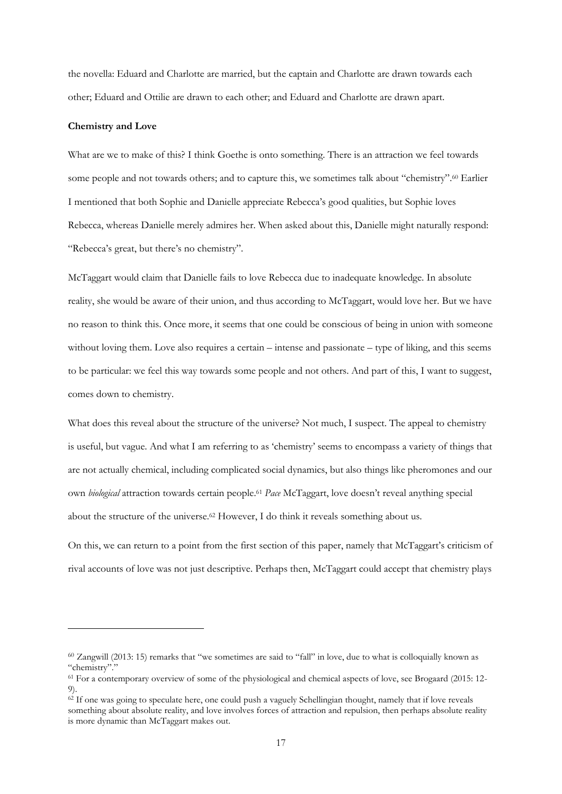the novella: Eduard and Charlotte are married, but the captain and Charlotte are drawn towards each other; Eduard and Ottilie are drawn to each other; and Eduard and Charlotte are drawn apart.

#### **Chemistry and Love**

-

What are we to make of this? I think Goethe is onto something. There is an attraction we feel towards some people and not towards others; and to capture this, we sometimes talk about "chemistry".<sup>60</sup> Earlier I mentioned that both Sophie and Danielle appreciate Rebecca's good qualities, but Sophie loves Rebecca, whereas Danielle merely admires her. When asked about this, Danielle might naturally respond: "Rebecca's great, but there's no chemistry".

McTaggart would claim that Danielle fails to love Rebecca due to inadequate knowledge. In absolute reality, she would be aware of their union, and thus according to McTaggart, would love her. But we have no reason to think this. Once more, it seems that one could be conscious of being in union with someone without loving them. Love also requires a certain – intense and passionate – type of liking, and this seems to be particular: we feel this way towards some people and not others. And part of this, I want to suggest, comes down to chemistry.

What does this reveal about the structure of the universe? Not much, I suspect. The appeal to chemistry is useful, but vague. And what I am referring to as 'chemistry' seems to encompass a variety of things that are not actually chemical, including complicated social dynamics, but also things like pheromones and our own *biological* attraction towards certain people.<sup>61</sup> *Pace* McTaggart, love doesn't reveal anything special about the structure of the universe.<sup>62</sup> However, I do think it reveals something about us.

On this, we can return to a point from the first section of this paper, namely that McTaggart's criticism of rival accounts of love was not just descriptive. Perhaps then, McTaggart could accept that chemistry plays

<sup>60</sup> Zangwill (2013: 15) remarks that "we sometimes are said to "fall" in love, due to what is colloquially known as "chemistry"."

<sup>61</sup> For a contemporary overview of some of the physiological and chemical aspects of love, see Brogaard (2015: 12- 9).

<sup>&</sup>lt;sup>62</sup> If one was going to speculate here, one could push a vaguely Schellingian thought, namely that if love reveals something about absolute reality, and love involves forces of attraction and repulsion, then perhaps absolute reality is more dynamic than McTaggart makes out.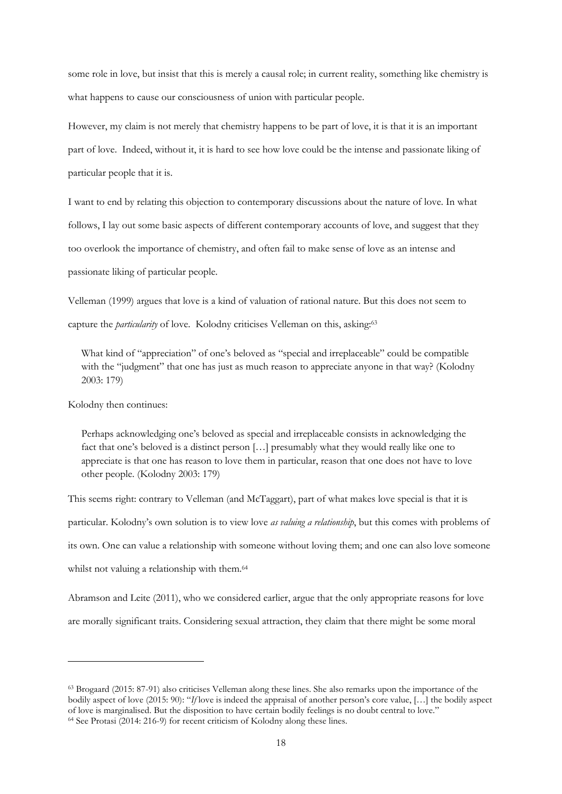some role in love, but insist that this is merely a causal role; in current reality, something like chemistry is what happens to cause our consciousness of union with particular people.

However, my claim is not merely that chemistry happens to be part of love, it is that it is an important part of love. Indeed, without it, it is hard to see how love could be the intense and passionate liking of particular people that it is.

I want to end by relating this objection to contemporary discussions about the nature of love. In what follows, I lay out some basic aspects of different contemporary accounts of love, and suggest that they too overlook the importance of chemistry, and often fail to make sense of love as an intense and passionate liking of particular people.

Velleman (1999) argues that love is a kind of valuation of rational nature. But this does not seem to capture the *particularity* of love. Kolodny criticises Velleman on this, asking:<sup>63</sup>

What kind of "appreciation" of one's beloved as "special and irreplaceable" could be compatible with the "judgment" that one has just as much reason to appreciate anyone in that way? (Kolodny 2003: 179)

Kolodny then continues:

-

Perhaps acknowledging one's beloved as special and irreplaceable consists in acknowledging the fact that one's beloved is a distinct person […] presumably what they would really like one to appreciate is that one has reason to love them in particular, reason that one does not have to love other people. (Kolodny 2003: 179)

This seems right: contrary to Velleman (and McTaggart), part of what makes love special is that it is particular. Kolodny's own solution is to view love *as valuing a relationship*, but this comes with problems of its own. One can value a relationship with someone without loving them; and one can also love someone whilst not valuing a relationship with them.<sup>64</sup>

Abramson and Leite (2011), who we considered earlier, argue that the only appropriate reasons for love are morally significant traits. Considering sexual attraction, they claim that there might be some moral

<sup>63</sup> Brogaard (2015: 87-91) also criticises Velleman along these lines. She also remarks upon the importance of the bodily aspect of love (2015: 90): "*If* love is indeed the appraisal of another person's core value, […] the bodily aspect of love is marginalised. But the disposition to have certain bodily feelings is no doubt central to love." <sup>64</sup> See Protasi (2014: 216-9) for recent criticism of Kolodny along these lines.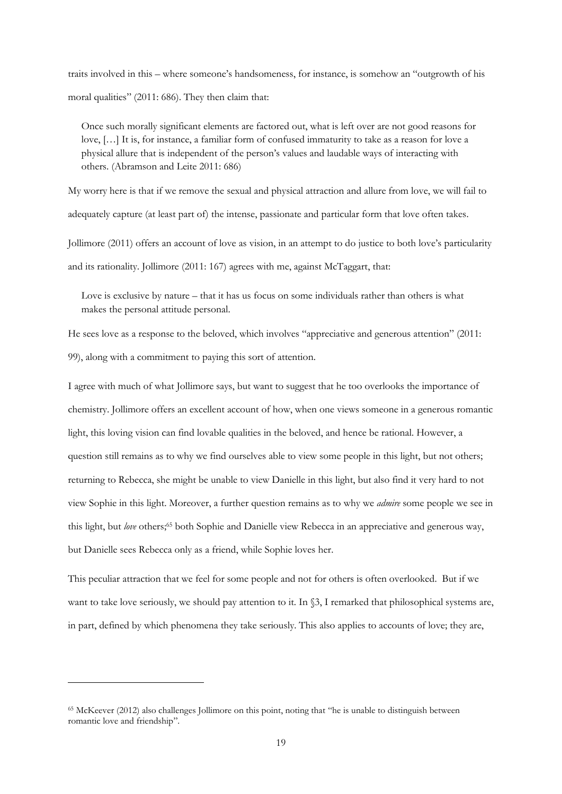traits involved in this – where someone's handsomeness, for instance, is somehow an "outgrowth of his moral qualities" (2011: 686). They then claim that:

Once such morally significant elements are factored out, what is left over are not good reasons for love, […] It is, for instance, a familiar form of confused immaturity to take as a reason for love a physical allure that is independent of the person's values and laudable ways of interacting with others. (Abramson and Leite 2011: 686)

My worry here is that if we remove the sexual and physical attraction and allure from love, we will fail to adequately capture (at least part of) the intense, passionate and particular form that love often takes. Jollimore (2011) offers an account of love as vision, in an attempt to do justice to both love's particularity

and its rationality. Jollimore (2011: 167) agrees with me, against McTaggart, that:

Love is exclusive by nature – that it has us focus on some individuals rather than others is what makes the personal attitude personal.

He sees love as a response to the beloved, which involves "appreciative and generous attention" (2011: 99), along with a commitment to paying this sort of attention.

I agree with much of what Jollimore says, but want to suggest that he too overlooks the importance of chemistry. Jollimore offers an excellent account of how, when one views someone in a generous romantic light, this loving vision can find lovable qualities in the beloved, and hence be rational. However, a question still remains as to why we find ourselves able to view some people in this light, but not others; returning to Rebecca, she might be unable to view Danielle in this light, but also find it very hard to not view Sophie in this light. Moreover, a further question remains as to why we *admire* some people we see in this light, but *love* others;<sup>65</sup> both Sophie and Danielle view Rebecca in an appreciative and generous way, but Danielle sees Rebecca only as a friend, while Sophie loves her.

This peculiar attraction that we feel for some people and not for others is often overlooked. But if we want to take love seriously, we should pay attention to it. In §3, I remarked that philosophical systems are, in part, defined by which phenomena they take seriously. This also applies to accounts of love; they are,

<sup>65</sup> McKeever (2012) also challenges Jollimore on this point, noting that "he is unable to distinguish between romantic love and friendship".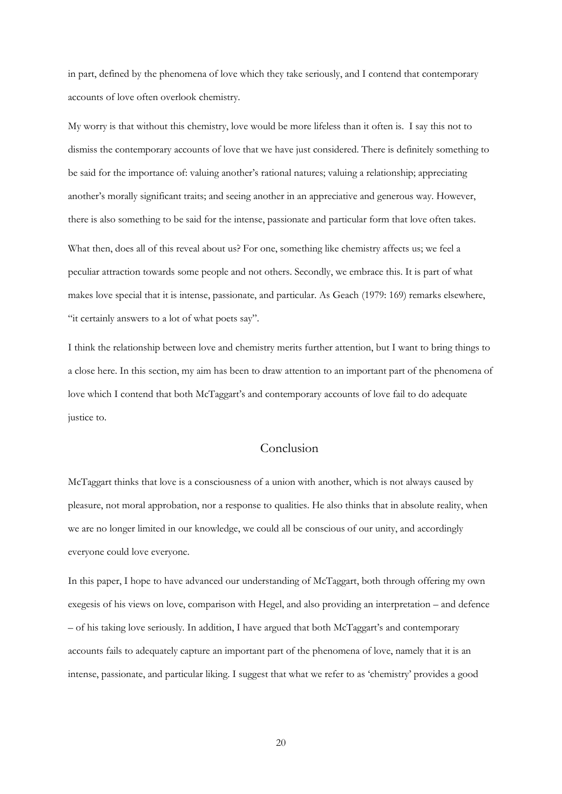in part, defined by the phenomena of love which they take seriously, and I contend that contemporary accounts of love often overlook chemistry.

My worry is that without this chemistry, love would be more lifeless than it often is. I say this not to dismiss the contemporary accounts of love that we have just considered. There is definitely something to be said for the importance of: valuing another's rational natures; valuing a relationship; appreciating another's morally significant traits; and seeing another in an appreciative and generous way. However, there is also something to be said for the intense, passionate and particular form that love often takes. What then, does all of this reveal about us? For one, something like chemistry affects us; we feel a peculiar attraction towards some people and not others. Secondly, we embrace this. It is part of what makes love special that it is intense, passionate, and particular. As Geach (1979: 169) remarks elsewhere, "it certainly answers to a lot of what poets say".

I think the relationship between love and chemistry merits further attention, but I want to bring things to a close here. In this section, my aim has been to draw attention to an important part of the phenomena of love which I contend that both McTaggart's and contemporary accounts of love fail to do adequate justice to.

## Conclusion

McTaggart thinks that love is a consciousness of a union with another, which is not always caused by pleasure, not moral approbation, nor a response to qualities. He also thinks that in absolute reality, when we are no longer limited in our knowledge, we could all be conscious of our unity, and accordingly everyone could love everyone.

In this paper, I hope to have advanced our understanding of McTaggart, both through offering my own exegesis of his views on love, comparison with Hegel, and also providing an interpretation – and defence – of his taking love seriously. In addition, I have argued that both McTaggart's and contemporary accounts fails to adequately capture an important part of the phenomena of love, namely that it is an intense, passionate, and particular liking. I suggest that what we refer to as 'chemistry' provides a good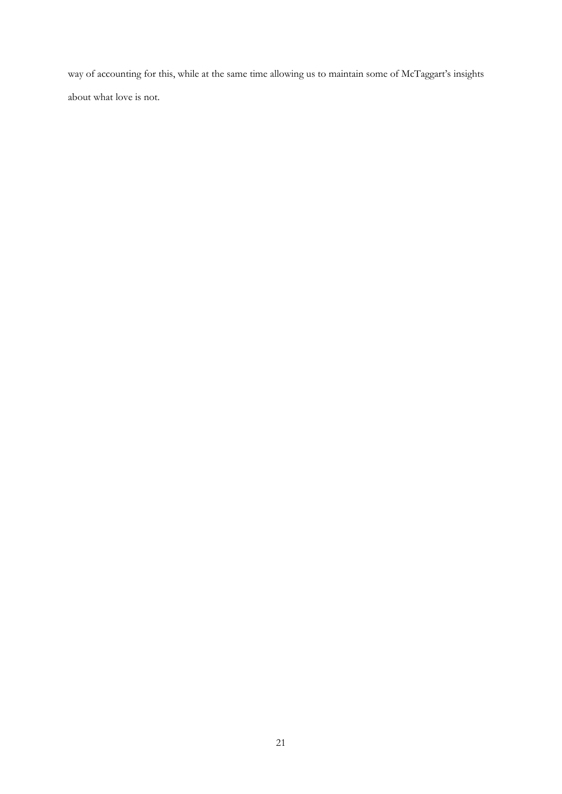way of accounting for this, while at the same time allowing us to maintain some of McTaggart's insights about what love is not.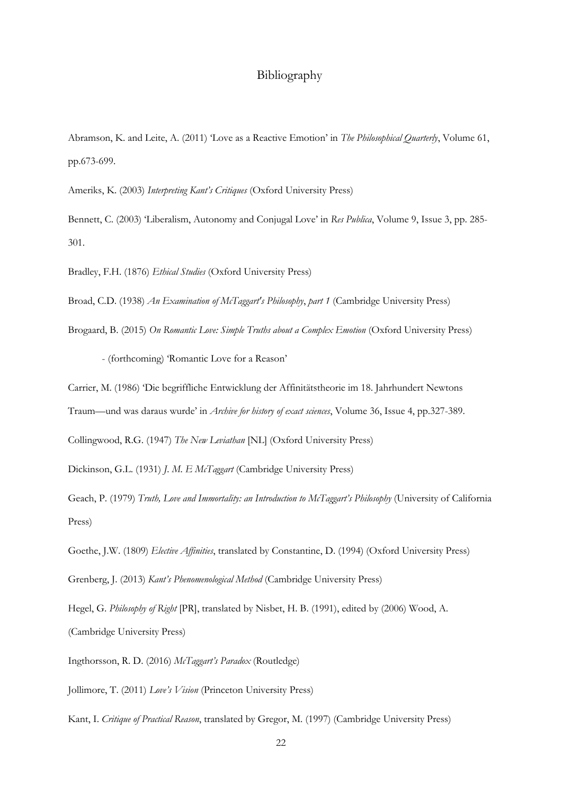## Bibliography

Abramson, K. and Leite, A. (2011) 'Love as a Reactive Emotion' in *The Philosophical Quarterly*, Volume 61, pp.673-699.

Ameriks, K. (2003) *Interpreting Kant's Critiques* (Oxford University Press)

Bennett, C. (2003) 'Liberalism, Autonomy and Conjugal Love' in *Res Publica*, Volume 9, Issue 3, pp. 285- 301.

Bradley, F.H. (1876) *Ethical Studies* (Oxford University Press)

Broad, C.D. (1938) *An Examination of McTaggart's Philosophy*, *part 1* (Cambridge University Press)

Brogaard, B. (2015) *On Romantic Love: Simple Truths about a Complex Emotion* (Oxford University Press)

- (forthcoming) 'Romantic Love for a Reason'

Carrier, M. (1986) 'Die begriffliche Entwicklung der Affinitätstheorie im 18. Jahrhundert Newtons

Traum—und was daraus wurde' in *Archive for history of exact sciences*, Volume 36, Issue 4, pp.327-389.

Collingwood, R.G. (1947) *The New Leviathan* [NL] (Oxford University Press)

Dickinson, G.L. (1931) *J. M. E McTaggart* (Cambridge University Press)

Geach, P. (1979) *Truth, Love and Immortality: an Introduction to McTaggart's Philosophy* (University of California Press)

Goethe, J.W. (1809) *Elective Affinities*, translated by Constantine, D. (1994) (Oxford University Press) Grenberg, J. (2013) *Kant's Phenomenological Method* (Cambridge University Press)

Hegel, G. *Philosophy of Right* [PR], translated by Nisbet, H. B. (1991), edited by (2006) Wood, A. (Cambridge University Press)

Ingthorsson, R. D. (2016) *McTaggart's Paradox* (Routledge)

Jollimore, T. (2011) *Love's Vision* (Princeton University Press)

Kant, I. *Critique of Practical Reason*, translated by Gregor, M. (1997) (Cambridge University Press)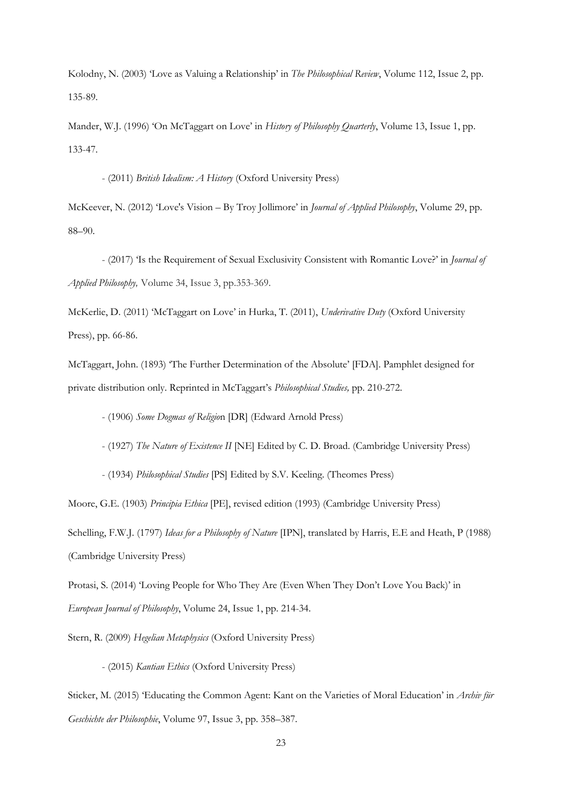Kolodny, N. (2003) 'Love as Valuing a Relationship' in *The Philosophical Review*, Volume 112, Issue 2, pp. 135-89.

Mander, W.J. (1996) 'On McTaggart on Love' in *History of Philosophy Quarterly*, Volume 13, Issue 1, pp. 133-47.

- (2011) *British Idealism: A History* (Oxford University Press)

McKeever, N. (2012) 'Love's Vision – By Troy Jollimore' in *Journal of Applied Philosophy*, Volume 29, pp. 88–90.

- (2017) 'Is the Requirement of Sexual Exclusivity Consistent with Romantic Love?' in *Journal of Applied Philosophy,* Volume 34, Issue 3, pp.353-369.

McKerlie, D. (2011) 'McTaggart on Love' in Hurka, T. (2011), *Underivative Duty* (Oxford University Press), pp. 66-86.

McTaggart, John. (1893) 'The Further Determination of the Absolute' [FDA]. Pamphlet designed for private distribution only. Reprinted in McTaggart's *Philosophical Studies,* pp. 210-272.

- (1906) *Some Dogmas of Religio*n [DR] (Edward Arnold Press)

- (1927) *The Nature of Existence II* [NE] Edited by C. D. Broad. (Cambridge University Press)

- (1934) *Philosophical Studies* [PS] Edited by S.V. Keeling. (Theomes Press)

Moore, G.E. (1903) *Principia Ethica* [PE], revised edition (1993) (Cambridge University Press) Schelling, F.W.J. (1797) *Ideas for a Philosophy of Nature* [IPN], translated by Harris, E.E and Heath, P (1988) (Cambridge University Press)

Protasi, S. (2014) 'Loving People for Who They Are (Even When They Don't Love You Back)' in *European Journal of Philosophy*, Volume 24, Issue 1, pp. 214-34.

Stern, R. (2009) *Hegelian Metaphysics* (Oxford University Press)

- (2015) *Kantian Ethics* (Oxford University Press)

Sticker, M. (2015) 'Educating the Common Agent: Kant on the Varieties of Moral Education' in *Archiv für Geschichte der Philosophie*, Volume 97, Issue 3, pp. 358–387.